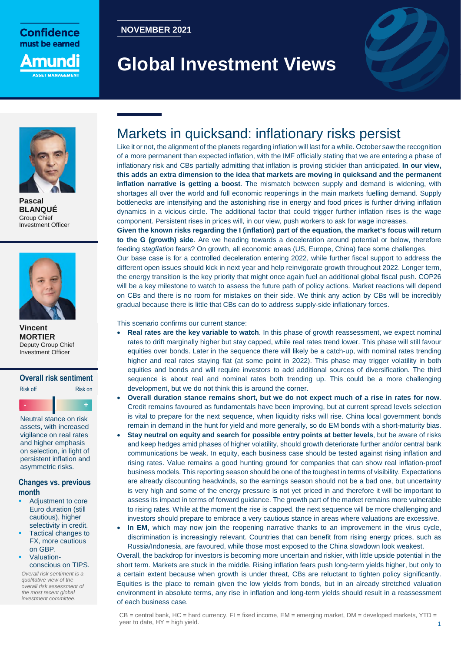

**NOVEMBER 2021**

# **Global Investment Views**



**Pascal BLANQUÉ** Group Chief Investment Officer



**Vincent MORTIER**  Deputy Group Chief Investment Officer

#### **Overall risk sentiment**



Neutral stance on risk assets, with increased vigilance on real rates and higher emphasis on selection, in light of persistent inflation and asymmetric risks.

#### **Changes vs. previous month**

- Adjustment to core Euro duration (still cautious), higher selectivity in credit.
- Tactical changes to FX, more cautious on GBP.
- Valuationconscious on TIPS.

*Overall risk sentiment is a qualitative view of the overall risk assessment of the most recent global investment committee.*

### Markets in quicksand: inflationary risks persist

Like it or not, the alignment of the planets regarding inflation will last for a while. October saw the recognition of a more permanent than expected inflation, with the IMF officially stating that we are entering a phase of inflationary risk and CBs partially admitting that inflation is proving stickier than anticipated. **In our view, this adds an extra dimension to the idea that markets are moving in quicksand and the permanent inflation narrative is getting a boost**. The mismatch between supply and demand is widening, with shortages all over the world and full economic reopenings in the main markets fuelling demand. Supply bottlenecks are intensifying and the astonishing rise in energy and food prices is further driving inflation dynamics in a vicious circle. The additional factor that could trigger further inflation rises is the wage component. Persistent rises in prices will, in our view, push workers to ask for wage increases.

**Given the known risks regarding the I (inflation) part of the equation, the market's focus will return to the G (growth) side**. Are we heading towards a deceleration around potential or below, therefore feeding *stagflation* fears? On growth, all economic areas (US, Europe, China) face some challenges. Our base case is for a controlled deceleration entering 2022, while further fiscal support to address the different open issues should kick in next year and help reinvigorate growth throughout 2022. Longer term, the energy transition is the key priority that might once again fuel an additional global fiscal push. COP26 will be a key milestone to watch to assess the future path of policy actions. Market reactions will depend

on CBs and there is no room for mistakes on their side. We think any action by CBs will be incredibly

gradual because there is little that CBs can do to address supply-side inflationary forces.

This scenario confirms our current stance:

- **Real rates are the key variable to watch**. In this phase of growth reassessment, we expect nominal rates to drift marginally higher but stay capped, while real rates trend lower. This phase will still favour equities over bonds. Later in the sequence there will likely be a catch-up, with nominal rates trending higher and real rates staying flat (at some point in 2022). This phase may trigger volatility in both equities and bonds and will require investors to add additional sources of diversification. The third sequence is about real and nominal rates both trending up. This could be a more challenging development, but we do not think this is around the corner.
	- **Overall duration stance remains short, but we do not expect much of a rise in rates for now**. Credit remains favoured as fundamentals have been improving, but at current spread levels selection is vital to prepare for the next sequence, when liquidity risks will rise. China local government bonds remain in demand in the hunt for yield and more generally, so do EM bonds with a short-maturity bias.
- **Stay neutral on equity and search for possible entry points at better levels**, but be aware of risks and keep hedges amid phases of higher volatility, should growth deteriorate further and/or central bank communications be weak. In equity, each business case should be tested against rising inflation and rising rates. Value remains a good hunting ground for companies that can show real inflation-proof business models. This reporting season should be one of the toughest in terms of visibility. Expectations are already discounting headwinds, so the earnings season should not be a bad one, but uncertainty is very high and some of the energy pressure is not yet priced in and therefore it will be important to assess its impact in terms of forward guidance. The growth part of the market remains more vulnerable to rising rates. While at the moment the rise is capped, the next sequence will be more challenging and investors should prepare to embrace a very cautious stance in areas where valuations are excessive.
- In **EM**, which may now join the reopening narrative thanks to an improvement in the virus cycle, discrimination is increasingly relevant. Countries that can benefit from rising energy prices, such as Russia/Indonesia, are favoured, while those most exposed to the China slowdown look weakest.

Overall, the backdrop for investors is becoming more uncertain and riskier, with little upside potential in the short term. Markets are stuck in the middle. Rising inflation fears push long-term yields higher, but only to a certain extent because when growth is under threat, CBs are reluctant to tighten policy significantly. Equities is the place to remain given the low yields from bonds, but in an already stretched valuation environment in absolute terms, any rise in inflation and long-term yields should result in a reassessment of each business case.

 $CB =$  central bank, HC = hard currency, FI = fixed income, EM = emerging market, DM = developed markets, YTD = year to date,  $HY = high$  yield.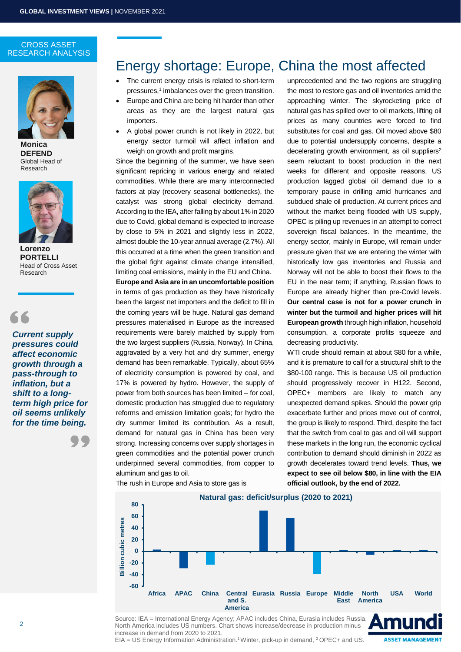#### CROSS ASSET RESEARCH ANALYSIS



**Monica DEFEND**  Global Head of Research



**Lorenzo PORTELLI**  Head of Cross Asset Research

*Current supply pressures could affect economic growth through a pass-through to inflation, but a shift to a longterm high price for oil seems unlikely for the time being.*

### Energy shortage: Europe, China the most affected

- The current energy crisis is related to short-term pressures,<sup>1</sup> imbalances over the green transition.
- Europe and China are being hit harder than other areas as they are the largest natural gas importers.
- A global power crunch is not likely in 2022, but energy sector turmoil will affect inflation and weigh on growth and profit margins.

Since the beginning of the summer, we have seen significant repricing in various energy and related commodities. While there are many interconnected factors at play (recovery seasonal bottlenecks), the catalyst was strong global electricity demand. According to the IEA, after falling by about 1% in 2020 due to Covid, global demand is expected to increase by close to 5% in 2021 and slightly less in 2022, almost double the 10-year annual average (2.7%). All this occurred at a time when the green transition and the global fight against climate change intensified, limiting coal emissions, mainly in the EU and China.

**Europe and Asia are in an uncomfortable position**  in terms of gas production as they have historically been the largest net importers and the deficit to fill in the coming years will be huge. Natural gas demand pressures materialised in Europe as the increased requirements were barely matched by supply from the two largest suppliers (Russia, Norway). In China, aggravated by a very hot and dry summer, energy demand has been remarkable. Typically, about 65% of electricity consumption is powered by coal, and 17% is powered by hydro. However, the supply of power from both sources has been limited – for coal, domestic production has struggled due to regulatory reforms and emission limitation goals; for hydro the dry summer limited its contribution. As a result, demand for natural gas in China has been very strong. Increasing concerns over supply shortages in green commodities and the potential power crunch underpinned several commodities, from copper to aluminum and gas to oil.

The rush in Europe and Asia to store gas is

unprecedented and the two regions are struggling the most to restore gas and oil inventories amid the approaching winter. The skyrocketing price of natural gas has spilled over to oil markets, lifting oil prices as many countries were forced to find substitutes for coal and gas. Oil moved above \$80 due to potential undersupply concerns, despite a decelerating growth environment, as oil suppliers<sup>2</sup> seem reluctant to boost production in the next weeks for different and opposite reasons. US production lagged global oil demand due to a temporary pause in drilling amid hurricanes and subdued shale oil production. At current prices and without the market being flooded with US supply, OPEC is piling up revenues in an attempt to correct sovereign fiscal balances. In the meantime, the energy sector, mainly in Europe, will remain under pressure given that we are entering the winter with historically low gas inventories and Russia and Norway will not be able to boost their flows to the EU in the near term; if anything, Russian flows to Europe are already higher than pre-Covid levels. **Our central case is not for a power crunch in winter but the turmoil and higher prices will hit European growth** through high inflation, household consumption, a corporate profits squeeze and decreasing productivity.

WTI crude should remain at about \$80 for a while. and it is premature to call for a structural shift to the \$80-100 range. This is because US oil production should progressively recover in H122. Second, OPEC+ members are likely to match any unexpected demand spikes. Should the power grip exacerbate further and prices move out of control, the group is likely to respond. Third, despite the fact that the switch from coal to gas and oil will support these markets in the long run, the economic cyclical contribution to demand should diminish in 2022 as growth decelerates toward trend levels. **Thus, we expect to see oil below \$80, in line with the EIA official outlook, by the end of 2022.**

**ASSET MANAGEMENT** 



Source: IEA = International Energy Agency; APAC includes China, Eurasia includes Russia, North America includes US numbers. Chart shows increase/decrease in production minus increase in demand from 2020 to 2021.

 $EIA = US Energy Information Administration.<sup>1</sup> Winter, pick-up in demand, <sup>2</sup> OPEC+ and US.$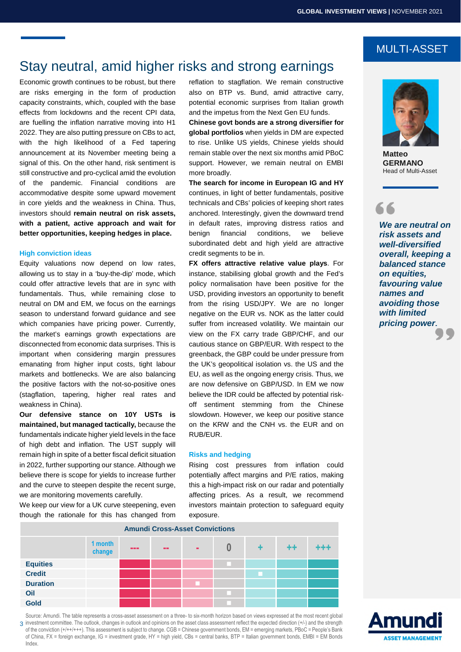### MULTI-ASSET

*We are neutral on risk assets and well-diversified overall, keeping a balanced stance on equities, favouring value names and avoiding those with limited pricing power.*

**Matteo GERMANO** Head of Multi-Asset

### Stay neutral, amid higher risks and strong earnings

Economic growth continues to be robust, but there are risks emerging in the form of production capacity constraints, which, coupled with the base effects from lockdowns and the recent CPI data, are fuelling the inflation narrative moving into H1 2022. They are also putting pressure on CBs to act, with the high likelihood of a Fed tapering announcement at its November meeting being a signal of this. On the other hand, risk sentiment is still constructive and pro-cyclical amid the evolution of the pandemic. Financial conditions are accommodative despite some upward movement in core yields and the weakness in China. Thus, investors should **remain neutral on risk assets, with a patient, active approach and wait for better opportunities, keeping hedges in place.** 

#### **High conviction ideas**

Equity valuations now depend on low rates, allowing us to stay in a 'buy-the-dip' mode, which could offer attractive levels that are in sync with fundamentals. Thus, while remaining close to neutral on DM and EM, we focus on the earnings season to understand forward guidance and see which companies have pricing power. Currently, the market's earnings growth expectations are disconnected from economic data surprises. This is important when considering margin pressures emanating from higher input costs, tight labour markets and bottlenecks. We are also balancing the positive factors with the not-so-positive ones (stagflation, tapering, higher real rates and weakness in China).

**Our defensive stance on 10Y USTs is maintained, but managed tactically,** because the fundamentals indicate higher yield levels in the face of high debt and inflation. The UST supply will remain high in spite of a better fiscal deficit situation in 2022, further supporting our stance. Although we believe there is scope for yields to increase further and the curve to steepen despite the recent surge, we are monitoring movements carefully.

We keep our view for a UK curve steepening, even though the rationale for this has changed from reflation to stagflation. We remain constructive also on BTP vs. Bund, amid attractive carry, potential economic surprises from Italian growth and the impetus from the Next Gen EU funds.

**Chinese govt bonds are a strong diversifier for global portfolios** when yields in DM are expected to rise. Unlike US yields, Chinese yields should remain stable over the next six months amid PBoC support. However, we remain neutral on EMBI more broadly.

**The search for income in European IG and HY**  continues, in light of better fundamentals, positive technicals and CBs' policies of keeping short rates anchored. Interestingly, given the downward trend in default rates, improving distress ratios and benign financial conditions, we believe subordinated debt and high vield are attractive credit segments to be in.

**FX offers attractive relative value plays**. For instance, stabilising global growth and the Fed's policy normalisation have been positive for the USD, providing investors an opportunity to benefit from the rising USD/JPY. We are no longer negative on the EUR vs. NOK as the latter could suffer from increased volatility. We maintain our view on the FX carry trade GBP/CHF, and our cautious stance on GBP/EUR. With respect to the greenback, the GBP could be under pressure from the UK's geopolitical isolation vs. the US and the EU, as well as the ongoing energy crisis. Thus, we are now defensive on GBP/USD. In EM we now believe the IDR could be affected by potential riskoff sentiment stemming from the Chinese slowdown. However, we keep our positive stance on the KRW and the CNH vs. the EUR and on RUB/EUR.

#### **Risks and hedging**

Rising cost pressures from inflation could potentially affect margins and P/E ratios, making this a high-impact risk on our radar and potentially affecting prices. As a result, we recommend investors maintain protection to safeguard equity exposure.

**Amundi Cross-Asset Convictions 1 month change --- -- - 0 + ++ +++ Equities Credit Duration Oil Contained by the contact of the contact of the contact of the contact of the contact of the contact of the contact of the contact of the contact of the contact of the contact of the contact of the contact of the con Gold Gold Collection in the collection of the collection of the collection of the collection of the collection of the collection of the collection of the collection of the collection of the collection of the collectio** 

3 investment committee. The outlook, changes in outlook and opinions on the asset class assessment reflect the expected direction (+/-) and the strength Source: Amundi. The table represents a cross-asset assessment on a three- to six-month horizon based on views expressed at the most recent global of the conviction (+/++/+++). This assessment is subject to change. CGB = Chinese government bonds, EM = emerging markets, PBoC = People's Bank of China, FX = foreign exchange, IG = investment grade, HY = high yield, CBs = central banks, BTP = Italian government bonds, EMBI = EM Bonds Index.

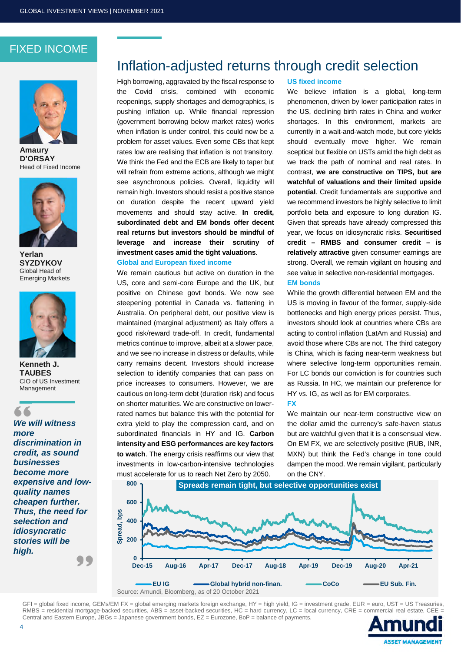### FIXED INCOME



**Amaury D'ORSAY** Head of Fixed Income



**Yerlan SYZDYKOV**  Global Head of Emerging Markets



**Kenneth J. TAUBES**  CIO of US Investment Management

66

*We will witness more discrimination in credit, as sound businesses become more expensive and lowquality names cheapen further. Thus, the need for selection and idiosyncratic stories will be high.* 

### Inflation-adjusted returns through credit selection

High borrowing, aggravated by the fiscal response to the Covid crisis, combined with economic reopenings, supply shortages and demographics, is pushing inflation up. While financial repression (government borrowing below market rates) works when inflation is under control, this could now be a problem for asset values. Even some CBs that kept rates low are realising that inflation is not transitory. We think the Fed and the ECB are likely to taper but will refrain from extreme actions, although we might see asynchronous policies. Overall, liquidity will remain high. Investors should resist a positive stance on duration despite the recent upward yield movements and should stay active. **In credit, subordinated debt and EM bonds offer decent real returns but investors should be mindful of leverage and increase their scrutiny of investment cases amid the tight valuations**.

#### **Global and European fixed income**

We remain cautious but active on duration in the US, core and semi-core Europe and the UK, but positive on Chinese govt bonds. We now see steepening potential in Canada vs. flattening in Australia. On peripheral debt, our positive view is maintained (marginal adjustment) as Italy offers a good risk/reward trade-off. In credit, fundamental metrics continue to improve, albeit at a slower pace, and we see no increase in distress or defaults, while carry remains decent. Investors should increase selection to identify companies that can pass on price increases to consumers. However, we are cautious on long-term debt (duration risk) and focus on shorter maturities. We are constructive on lowerrated names but balance this with the potential for extra yield to play the compression card, and on subordinated financials in HY and IG. **Carbon intensity and ESG performances are key factors to watch**. The energy crisis reaffirms our view that investments in low-carbon-intensive technologies

#### **US fixed income**

We believe inflation is a global, long-term phenomenon, driven by lower participation rates in the US, declining birth rates in China and worker shortages. In this environment, markets are currently in a wait-and-watch mode, but core yields should eventually move higher. We remain sceptical but flexible on USTs amid the high debt as we track the path of nominal and real rates. In contrast, **we are constructive on TIPS, but are watchful of valuations and their limited upside potential**. Credit fundamentals are supportive and we recommend investors be highly selective to limit portfolio beta and exposure to long duration IG. Given that spreads have already compressed this year, we focus on idiosyncratic risks. **Securitised credit – RMBS and consumer credit – is relatively attractive** given consumer earnings are strong. Overall, we remain vigilant on housing and see value in selective non-residential mortgages. **EM bonds** 

While the growth differential between EM and the US is moving in favour of the former, supply-side bottlenecks and high energy prices persist. Thus, investors should look at countries where CBs are acting to control inflation (LatAm and Russia) and avoid those where CBs are not. The third category is China, which is facing near-term weakness but where selective long-term opportunities remain. For LC bonds our conviction is for countries such as Russia. In HC, we maintain our preference for HY vs. IG, as well as for EM corporates. **FX** 

We maintain our near-term constructive view on the dollar amid the currency's safe-haven status but are watchful given that it is a consensual view. On EM FX, we are selectively positive (RUB, INR, MXN) but think the Fed's change in tone could dampen the mood. We remain vigilant, particularly on the CNY.



Source: Amundi, Bloomberg, as of 20 October 2021

GFI = global fixed income, GEMs/EM FX = global emerging markets foreign exchange, HY = high yield, IG = investment grade, EUR = euro, UST = US Treasuries,  $RMS$  = residential mortgage-backed securities,  $ABS$  = asset-backed securities,  $H\tilde{C}$  = hard currency, LC = local currency, CRE = commercial real estate, CEE = Central and Eastern Europe, JBGs = Japanese government bonds, EZ = Eurozone, BoP = balance of payments.

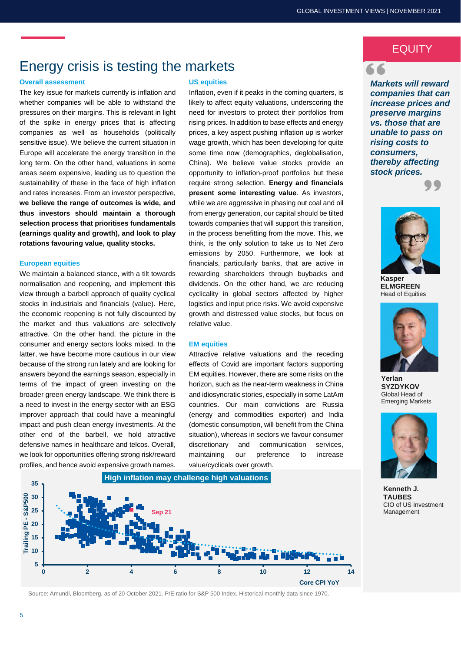66

### Energy crisis is testing the markets

#### **Overall assessment**

The key issue for markets currently is inflation and whether companies will be able to withstand the pressures on their margins. This is relevant in light of the spike in energy prices that is affecting companies as well as households (politically sensitive issue). We believe the current situation in Europe will accelerate the energy transition in the long term. On the other hand, valuations in some areas seem expensive, leading us to question the sustainability of these in the face of high inflation and rates increases. From an investor perspective, **we believe the range of outcomes is wide, and thus investors should maintain a thorough selection process that prioritises fundamentals (earnings quality and growth), and look to play rotations favouring value, quality stocks.** 

#### **European equities**

We maintain a balanced stance, with a tilt towards normalisation and reopening, and implement this view through a barbell approach of quality cyclical stocks in industrials and financials (value). Here, the economic reopening is not fully discounted by the market and thus valuations are selectively attractive. On the other hand, the picture in the consumer and energy sectors looks mixed. In the latter, we have become more cautious in our view because of the strong run lately and are looking for answers beyond the earnings season, especially in terms of the impact of green investing on the broader green energy landscape. We think there is a need to invest in the energy sector with an ESG improver approach that could have a meaningful impact and push clean energy investments. At the other end of the barbell, we hold attractive defensive names in healthcare and telcos. Overall, we look for opportunities offering strong risk/reward profiles, and hence avoid expensive growth names.

#### **US equities**

Inflation, even if it peaks in the coming quarters, is likely to affect equity valuations, underscoring the need for investors to protect their portfolios from rising prices. In addition to base effects and energy prices, a key aspect pushing inflation up is worker wage growth, which has been developing for quite some time now (demographics, deglobalisation, China). We believe value stocks provide an opportunity to inflation-proof portfolios but these require strong selection. **Energy and financials present some interesting value**. As investors, while we are aggressive in phasing out coal and oil from energy generation, our capital should be tilted towards companies that will support this transition, in the process benefitting from the move. This, we think, is the only solution to take us to Net Zero emissions by 2050. Furthermore, we look at financials, particularly banks, that are active in rewarding shareholders through buybacks and dividends. On the other hand, we are reducing cyclicality in global sectors affected by higher logistics and input price risks. We avoid expensive growth and distressed value stocks, but focus on relative value.

#### **EM equities**

Attractive relative valuations and the receding effects of Covid are important factors supporting EM equities. However, there are some risks on the horizon, such as the near-term weakness in China and idiosyncratic stories, especially in some LatAm countries. Our main convictions are Russia (energy and commodities exporter) and India (domestic consumption, will benefit from the China situation), whereas in sectors we favour consumer discretionary and communication services, maintaining our preference to increase value/cyclicals over growth.



Source: Amundi, Bloomberg, as of 20 October 2021. P/E ratio for S&P 500 Index. Historical monthly data since 1970.

### **EQUITY**

*Markets will reward companies that can increase prices and preserve margins vs. those that are unable to pass on rising costs to consumers, thereby affecting stock prices.* 



**ELMGREEN**  Head of Equities



**Yerlan SYZDYKOV** Global Head of Emerging Markets



**Kenneth J. TAUBES**  CIO of US Investment Management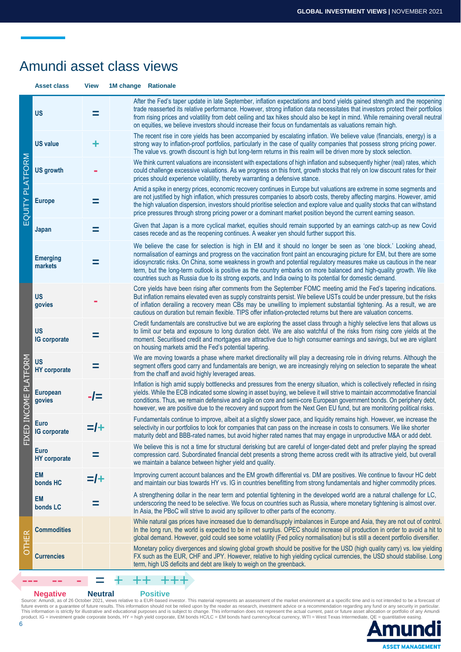## Amundi asset class views

|                          | <b>Asset class</b>                 | <b>View</b> | 1M change Rationale |                                                                                                                                                                                                                                                                                                                                                                                                                                                                                                                                                                                                         |
|--------------------------|------------------------------------|-------------|---------------------|---------------------------------------------------------------------------------------------------------------------------------------------------------------------------------------------------------------------------------------------------------------------------------------------------------------------------------------------------------------------------------------------------------------------------------------------------------------------------------------------------------------------------------------------------------------------------------------------------------|
| EQUITY PLATFORM          | <b>US</b>                          | =           |                     | After the Fed's taper update in late September, inflation expectations and bond yields gained strength and the reopening<br>trade reasserted its relative performance. However, strong inflation data necessitates that investors protect their portfolios<br>from rising prices and volatility from debt ceiling and tax hikes should also be kept in mind. While remaining overall neutral<br>on equities, we believe investors should increase their focus on fundamentals as valuations remain high.                                                                                                |
|                          | <b>US value</b>                    | ٠           |                     | The recent rise in core yields has been accompanied by escalating inflation. We believe value (financials, energy) is a<br>strong way to inflation-proof portfolios, particularly in the case of quality companies that possess strong pricing power.<br>The value vs. growth discount is high but long-term returns in this realm will be driven more by stock selection.                                                                                                                                                                                                                              |
|                          | <b>US growth</b>                   |             |                     | We think current valuations are inconsistent with expectations of high inflation and subsequently higher (real) rates, which<br>could challenge excessive valuations. As we progress on this front, growth stocks that rely on low discount rates for their<br>prices should experience volatility, thereby warranting a defensive stance.                                                                                                                                                                                                                                                              |
|                          | <b>Europe</b>                      | =           |                     | Amid a spike in energy prices, economic recovery continues in Europe but valuations are extreme in some segments and<br>are not justified by high inflation, which pressures companies to absorb costs, thereby affecting margins. However, amid<br>the high valuation dispersion, investors should prioritise selection and explore value and quality stocks that can withstand<br>price pressures through strong pricing power or a dominant market position beyond the current earning season.                                                                                                       |
|                          | Japan                              | =           |                     | Given that Japan is a more cyclical market, equities should remain supported by an earnings catch-up as new Covid<br>cases recede and as the reopening continues. A weaker yen should further support this.                                                                                                                                                                                                                                                                                                                                                                                             |
|                          | <b>Emerging</b><br>markets         |             |                     | We believe the case for selection is high in EM and it should no longer be seen as 'one block.' Looking ahead,<br>normalisation of earnings and progress on the vaccination front paint an encouraging picture for EM, but there are some<br>idiosyncratic risks. On China, some weakness in growth and potential regulatory measures make us cautious in the near<br>term, but the long-term outlook is positive as the country embarks on more balanced and high-quality growth. We like<br>countries such as Russia due to its strong exports, and India owing to its potential for domestic demand. |
| INCOME PLATFORM<br>FIXEI | <b>US</b><br>govies                |             |                     | Core yields have been rising after comments from the September FOMC meeting amid the Fed's tapering indications.<br>But inflation remains elevated even as supply constraints persist. We believe USTs could be under pressure, but the risks<br>of inflation derailing a recovery mean CBs may be unwilling to implement substantial tightening. As a result, we are<br>cautious on duration but remain flexible. TIPS offer inflation-protected returns but there are valuation concerns.                                                                                                             |
|                          | <b>US</b><br><b>IG</b> corporate   |             |                     | Credit fundamentals are constructive but we are exploring the asset class through a highly selective lens that allows us<br>to limit our beta and exposure to long duration debt. We are also watchful of the risks from rising core yields at the<br>moment. Securitised credit and mortgages are attractive due to high consumer earnings and savings, but we are vigilant<br>on housing markets amid the Fed's potential tapering.                                                                                                                                                                   |
|                          | <b>US</b><br><b>HY</b> corporate   | =           |                     | We are moving towards a phase where market directionality will play a decreasing role in driving returns. Although the<br>segment offers good carry and fundamentals are benign, we are increasingly relying on selection to separate the wheat<br>from the chaff and avoid highly leveraged areas.                                                                                                                                                                                                                                                                                                     |
|                          | <b>European</b><br>govies          | -/=         |                     | Inflation is high amid supply bottlenecks and pressures from the energy situation, which is collectively reflected in rising<br>yields. While the ECB indicated some slowing in asset buying, we believe it will strive to maintain accommodative financial<br>conditions. Thus, we remain defensive and agile on core and semi-core European government bonds. On periphery debt,<br>however, we are positive due to the recovery and support from the Next Gen EU fund, but are monitoring political risks.                                                                                           |
|                          | <b>Euro</b><br><b>IG</b> corporate |             |                     | Fundamentals continue to improve, albeit at a slightly slower pace, and liquidity remains high. However, we increase the<br>selectivity in our portfolios to look for companies that can pass on the increase in costs to consumers. We like shorter<br>maturity debt and BBB-rated names, but avoid higher rated names that may engage in unproductive M&A or add debt.                                                                                                                                                                                                                                |
|                          | <b>Euro</b><br><b>HY</b> corporate | =           |                     | We believe this is not a time for structural derisking but are careful of longer-dated debt and prefer playing the spread<br>compression card. Subordinated financial debt presents a strong theme across credit with its attractive yield, but overall<br>we maintain a balance between higher yield and quality.                                                                                                                                                                                                                                                                                      |
|                          | EM<br>bonds HC                     | $=$ /+      |                     | Improving current account balances and the EM growth differential vs. DM are positives. We continue to favour HC debt<br>and maintain our bias towards HY vs. IG in countries benefitting from strong fundamentals and higher commodity prices.                                                                                                                                                                                                                                                                                                                                                         |
|                          | EM<br>bonds LC                     | =           |                     | A strengthening dollar in the near term and potential tightening in the developed world are a natural challenge for LC,<br>underscoring the need to be selective. We focus on countries such as Russia, where monetary tightening is almost over.<br>In Asia, the PBoC will strive to avoid any spillover to other parts of the economy.                                                                                                                                                                                                                                                                |
| OTHER                    | <b>Commodities</b>                 |             |                     | While natural gas prices have increased due to demand/supply imbalances in Europe and Asia, they are not out of control.<br>In the long run, the world is expected to be in net surplus. OPEC should increase oil production in order to avoid a hit to<br>global demand. However, gold could see some volatility (Fed policy normalisation) but is still a decent portfolio diversifier.                                                                                                                                                                                                               |
|                          | <b>Currencies</b>                  |             |                     | Monetary policy divergences and slowing global growth should be positive for the USD (high quality carry) vs. low yielding<br>FX such as the EUR, CHF and JPY. However, relative to high yielding cyclical currencies, the USD should stabilise. Long<br>term, high US deficits and debt are likely to weigh on the greenback.                                                                                                                                                                                                                                                                          |

### --- -- - = + ++ +++

#### **Negative Neutral Positive**

Source: Amundi, as of 26 October 2021, views relative to a EUR-based investor. This material represents an assessment of the market environment at a specific time and is not intended to be a forecast of<br>future events or a